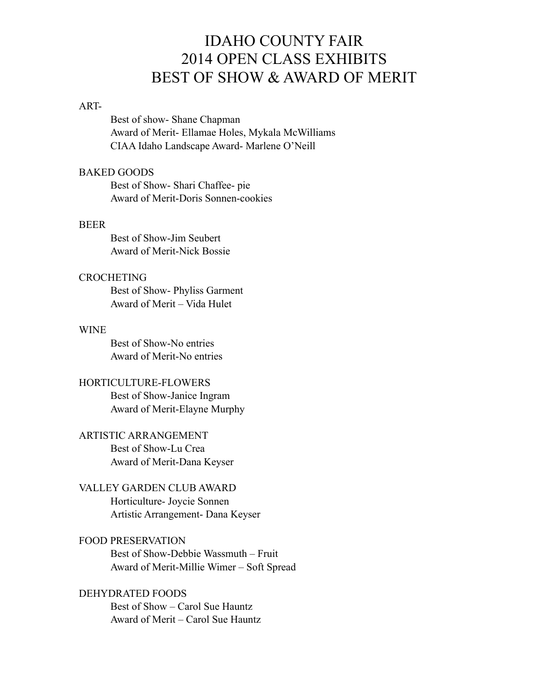# IDAHO COUNTY FAIR 2014 OPEN CLASS EXHIBITS BEST OF SHOW & AWARD OF MERIT

#### ART-

 Best of show- Shane Chapman Award of Merit- Ellamae Holes, Mykala McWilliams CIAA Idaho Landscape Award- Marlene O'Neill

#### BAKED GOODS

 Best of Show- Shari Chaffee- pie Award of Merit-Doris Sonnen-cookies

#### BEER

 Best of Show-Jim Seubert Award of Merit-Nick Bossie

# **CROCHETING**

 Best of Show- Phyliss Garment Award of Merit – Vida Hulet

#### **WINE**

 Best of Show-No entries Award of Merit-No entries

# HORTICULTURE-FLOWERS

 Best of Show-Janice Ingram Award of Merit-Elayne Murphy

# ARTISTIC ARRANGEMENT

 Best of Show-Lu Crea Award of Merit-Dana Keyser

# VALLEY GARDEN CLUB AWARD

 Horticulture- Joycie Sonnen Artistic Arrangement- Dana Keyser

# FOOD PRESERVATION

 Best of Show-Debbie Wassmuth – Fruit Award of Merit-Millie Wimer – Soft Spread

## DEHYDRATED FOODS

 Best of Show – Carol Sue Hauntz Award of Merit – Carol Sue Hauntz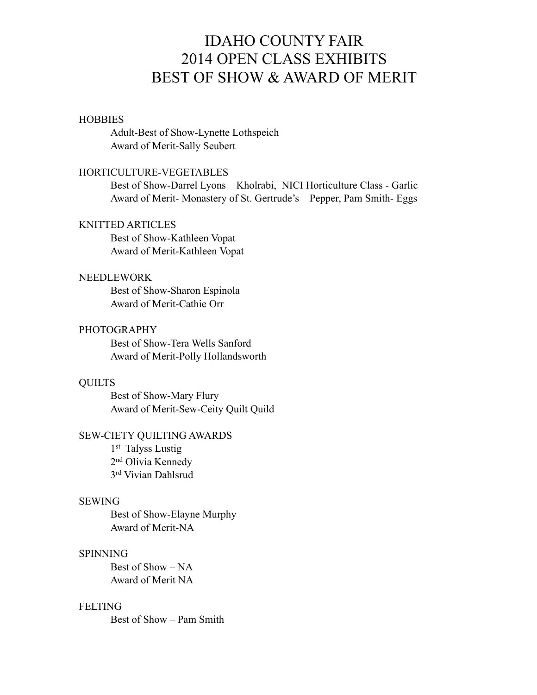# IDAHO COUNTY FAIR 2014 OPEN CLASS EXHIBITS BEST OF SHOW & AWARD OF MERIT

#### **HOBBIES**

 Adult-Best of Show-Lynette Lothspeich Award of Merit-Sally Seubert

#### HORTICULTURE-VEGETABLES

 Best of Show-Darrel Lyons – Kholrabi, NICI Horticulture Class - Garlic Award of Merit- Monastery of St. Gertrude's – Pepper, Pam Smith- Eggs

#### KNITTED ARTICLES

 Best of Show-Kathleen Vopat Award of Merit-Kathleen Vopat

## NEEDLEWORK

 Best of Show-Sharon Espinola Award of Merit-Cathie Orr

### PHOTOGRAPHY

 Best of Show-Tera Wells Sanford Award of Merit-Polly Hollandsworth

# **QUILTS**

 Best of Show-Mary Flury Award of Merit-Sew-Ceity Quilt Quild

### SEW-CIETY QUILTING AWARDS

1<sup>st</sup> Talyss Lustig 2nd Olivia Kennedy 3rd Vivian Dahlsrud

#### SEWING

 Best of Show-Elayne Murphy Award of Merit-NA

#### SPINNING

 Best of Show – NA Award of Merit NA

#### FELTING

Best of Show – Pam Smith